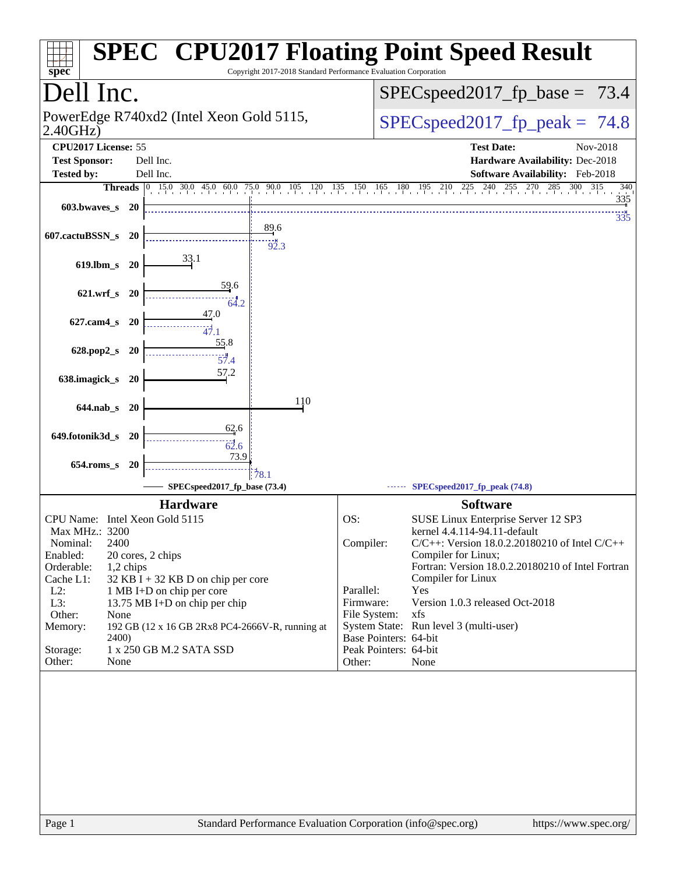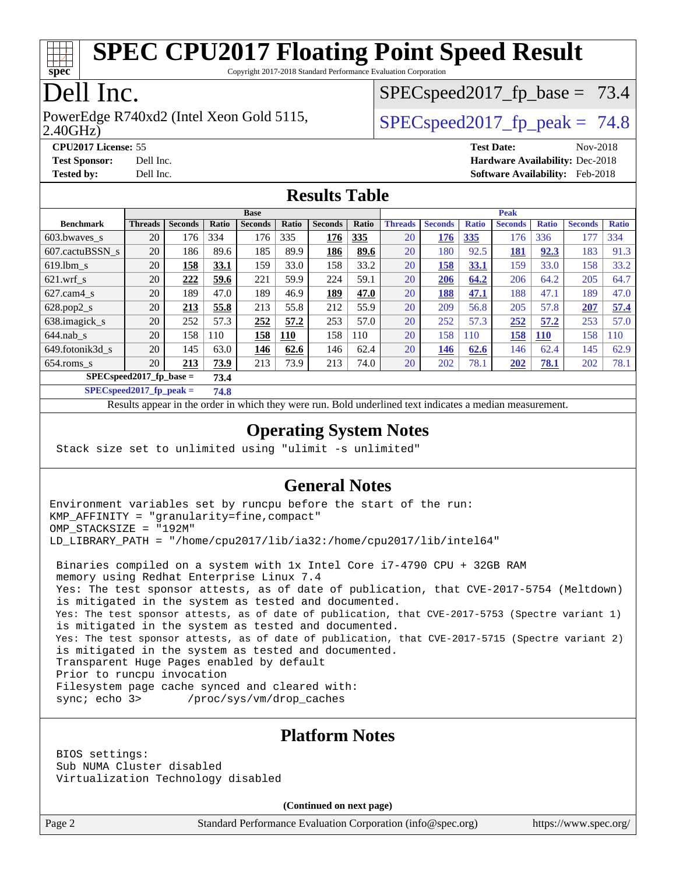

Copyright 2017-2018 Standard Performance Evaluation Corporation

## Dell Inc.

2.40GHz) PowerEdge R740xd2 (Intel Xeon Gold 5115,  $\vert$  [SPECspeed2017\\_fp\\_peak =](http://www.spec.org/auto/cpu2017/Docs/result-fields.html#SPECspeed2017fppeak) 74.8

 $SPECspeed2017_fp\_base = 73.4$ 

**[CPU2017 License:](http://www.spec.org/auto/cpu2017/Docs/result-fields.html#CPU2017License)** 55 **[Test Date:](http://www.spec.org/auto/cpu2017/Docs/result-fields.html#TestDate)** Nov-2018 **[Test Sponsor:](http://www.spec.org/auto/cpu2017/Docs/result-fields.html#TestSponsor)** Dell Inc. **[Hardware Availability:](http://www.spec.org/auto/cpu2017/Docs/result-fields.html#HardwareAvailability)** Dec-2018 **[Tested by:](http://www.spec.org/auto/cpu2017/Docs/result-fields.html#Testedby)** Dell Inc. **[Software Availability:](http://www.spec.org/auto/cpu2017/Docs/result-fields.html#SoftwareAvailability)** Feb-2018

#### **[Results Table](http://www.spec.org/auto/cpu2017/Docs/result-fields.html#ResultsTable)**

|                                    | <b>Base</b>    |                |              |                |              |                |       |                | <b>Peak</b>    |              |                |              |                |              |  |
|------------------------------------|----------------|----------------|--------------|----------------|--------------|----------------|-------|----------------|----------------|--------------|----------------|--------------|----------------|--------------|--|
| <b>Benchmark</b>                   | <b>Threads</b> | <b>Seconds</b> | <b>Ratio</b> | <b>Seconds</b> | <b>Ratio</b> | <b>Seconds</b> | Ratio | <b>Threads</b> | <b>Seconds</b> | <b>Ratio</b> | <b>Seconds</b> | <b>Ratio</b> | <b>Seconds</b> | <b>Ratio</b> |  |
| 603.bwayes s                       | 20             | 176            | 334          | 176            | 335          | 176            | 335   | 20             | 176            | 335          | 176            | 336          | 177            | 334          |  |
| 607.cactuBSSN s                    | 20             | 186            | 89.6         | 185            | 89.9         | 186            | 89.6  | 20             | 180            | 92.5         | <b>181</b>     | 92.3         | 183            | 91.3         |  |
| $619.1$ bm s                       | 20             | 158            | 33.1         | 159            | 33.0         | 158            | 33.2  | 20             | 158            | 33.1         | 159            | 33.0         | 158            | 33.2         |  |
| $621$ .wrf s                       | 20             | 222            | 59.6         | 221            | 59.9         | 224            | 59.1  | 20             | 206            | 64.2         | 206            | 64.2         | 205            | 64.7         |  |
| $627$ .cam $4 \text{ s}$           | 20             | 189            | 47.0         | 189            | 46.9         | 189            | 47.0  | 20             | 188            | 47.1         | 188            | 47.1         | 189            | 47.0         |  |
| $628.pop2_s$                       | 20             | 213            | 55.8         | 213            | 55.8         | 212            | 55.9  | 20             | 209            | 56.8         | 205            | 57.8         | 207            | 57.4         |  |
| 638.imagick_s                      | 20             | 252            | 57.3         | 252            | 57.2         | 253            | 57.0  | 20             | 252            | 57.3         | 252            | 57.2         | 253            | 57.0         |  |
| $644$ .nab s                       | 20             | 158            | 110          | 158            | <b>110</b>   | 158            | 110   | 20             | 158            | 110          | 158            | <u>110</u>   | 158            | 110          |  |
| 649.fotonik3d s                    | 20             | 145            | 63.0         | 146            | 62.6         | 146            | 62.4  | 20             | 146            | 62.6         | 146            | 62.4         | 145            | 62.9         |  |
| $654$ .roms s                      | 20             | 213            | 73.9         | 213            | 73.9         | 213            | 74.0  | 20             | 202            | 78.1         | 202            | <b>78.1</b>  | 202            | 78.1         |  |
| $SPEC speed2017$ fp base =<br>73.4 |                |                |              |                |              |                |       |                |                |              |                |              |                |              |  |

**[SPECspeed2017\\_fp\\_peak =](http://www.spec.org/auto/cpu2017/Docs/result-fields.html#SPECspeed2017fppeak) 74.8**

Results appear in the [order in which they were run.](http://www.spec.org/auto/cpu2017/Docs/result-fields.html#RunOrder) Bold underlined text [indicates a median measurement](http://www.spec.org/auto/cpu2017/Docs/result-fields.html#Median).

#### **[Operating System Notes](http://www.spec.org/auto/cpu2017/Docs/result-fields.html#OperatingSystemNotes)**

Stack size set to unlimited using "ulimit -s unlimited"

#### **[General Notes](http://www.spec.org/auto/cpu2017/Docs/result-fields.html#GeneralNotes)**

Environment variables set by runcpu before the start of the run: KMP\_AFFINITY = "granularity=fine,compact" OMP\_STACKSIZE = "192M" LD\_LIBRARY\_PATH = "/home/cpu2017/lib/ia32:/home/cpu2017/lib/intel64"

 Binaries compiled on a system with 1x Intel Core i7-4790 CPU + 32GB RAM memory using Redhat Enterprise Linux 7.4 Yes: The test sponsor attests, as of date of publication, that CVE-2017-5754 (Meltdown) is mitigated in the system as tested and documented. Yes: The test sponsor attests, as of date of publication, that CVE-2017-5753 (Spectre variant 1) is mitigated in the system as tested and documented. Yes: The test sponsor attests, as of date of publication, that CVE-2017-5715 (Spectre variant 2) is mitigated in the system as tested and documented. Transparent Huge Pages enabled by default Prior to runcpu invocation Filesystem page cache synced and cleared with: sync; echo 3> /proc/sys/vm/drop\_caches

#### **[Platform Notes](http://www.spec.org/auto/cpu2017/Docs/result-fields.html#PlatformNotes)**

 BIOS settings: Sub NUMA Cluster disabled Virtualization Technology disabled

**(Continued on next page)**

Page 2 Standard Performance Evaluation Corporation [\(info@spec.org\)](mailto:info@spec.org) <https://www.spec.org/>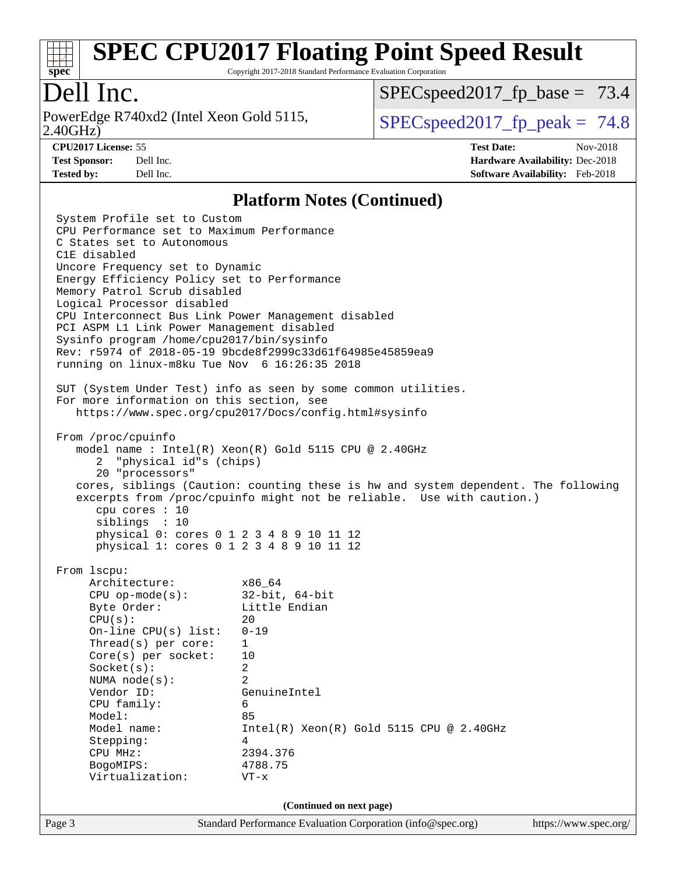

Copyright 2017-2018 Standard Performance Evaluation Corporation

## Dell Inc.

2.40GHz) PowerEdge R740xd2 (Intel Xeon Gold 5115,  $\vert$  [SPECspeed2017\\_fp\\_peak =](http://www.spec.org/auto/cpu2017/Docs/result-fields.html#SPECspeed2017fppeak) 74.8

 $SPECspeed2017_fp\_base = 73.4$ 

**[CPU2017 License:](http://www.spec.org/auto/cpu2017/Docs/result-fields.html#CPU2017License)** 55 **[Test Date:](http://www.spec.org/auto/cpu2017/Docs/result-fields.html#TestDate)** Nov-2018 **[Test Sponsor:](http://www.spec.org/auto/cpu2017/Docs/result-fields.html#TestSponsor)** Dell Inc. **[Hardware Availability:](http://www.spec.org/auto/cpu2017/Docs/result-fields.html#HardwareAvailability)** Dec-2018 **[Tested by:](http://www.spec.org/auto/cpu2017/Docs/result-fields.html#Testedby)** Dell Inc. **[Software Availability:](http://www.spec.org/auto/cpu2017/Docs/result-fields.html#SoftwareAvailability)** Feb-2018

#### **[Platform Notes \(Continued\)](http://www.spec.org/auto/cpu2017/Docs/result-fields.html#PlatformNotes)**

Page 3 Standard Performance Evaluation Corporation [\(info@spec.org\)](mailto:info@spec.org) <https://www.spec.org/> System Profile set to Custom CPU Performance set to Maximum Performance C States set to Autonomous C1E disabled Uncore Frequency set to Dynamic Energy Efficiency Policy set to Performance Memory Patrol Scrub disabled Logical Processor disabled CPU Interconnect Bus Link Power Management disabled PCI ASPM L1 Link Power Management disabled Sysinfo program /home/cpu2017/bin/sysinfo Rev: r5974 of 2018-05-19 9bcde8f2999c33d61f64985e45859ea9 running on linux-m8ku Tue Nov 6 16:26:35 2018 SUT (System Under Test) info as seen by some common utilities. For more information on this section, see <https://www.spec.org/cpu2017/Docs/config.html#sysinfo> From /proc/cpuinfo model name : Intel(R) Xeon(R) Gold 5115 CPU @ 2.40GHz 2 "physical id"s (chips) 20 "processors" cores, siblings (Caution: counting these is hw and system dependent. The following excerpts from /proc/cpuinfo might not be reliable. Use with caution.) cpu cores : 10 siblings : 10 physical 0: cores 0 1 2 3 4 8 9 10 11 12 physical 1: cores 0 1 2 3 4 8 9 10 11 12 From lscpu: Architecture: x86\_64 CPU op-mode(s): 32-bit, 64-bit Byte Order: Little Endian  $CPU(s):$  20 On-line CPU(s) list: 0-19 Thread(s) per core: 1 Core(s) per socket: 10 Socket(s): 2 NUMA node(s): 2 Vendor ID: GenuineIntel CPU family: 6 Model: 85 Model name:  $Intel(R)$  Xeon(R) Gold 5115 CPU @ 2.40GHz Stepping: 4 CPU MHz: 2394.376 BogoMIPS: 4788.75 Virtualization: VT-x **(Continued on next page)**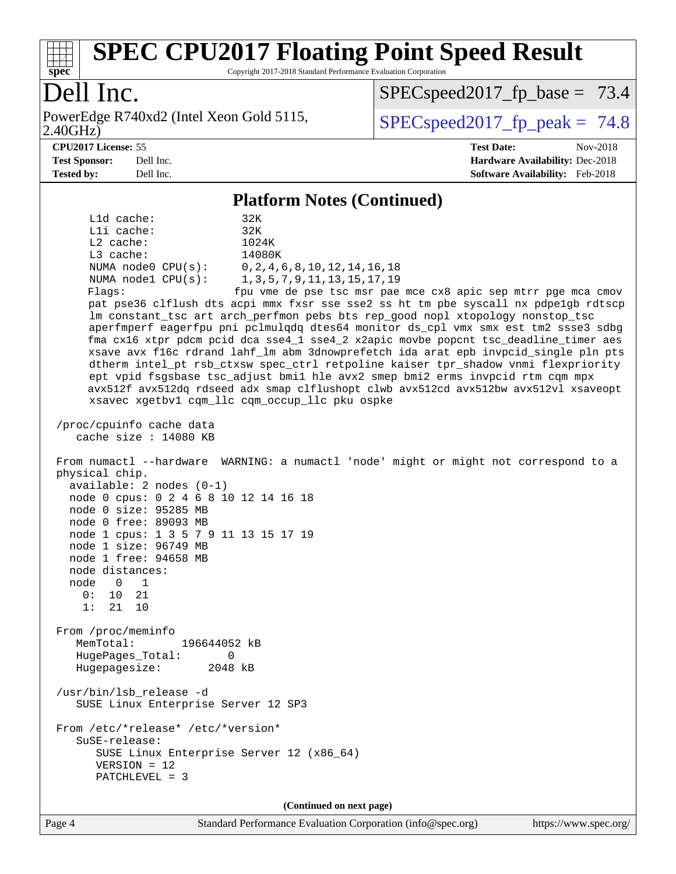

Copyright 2017-2018 Standard Performance Evaluation Corporation

## Dell Inc.

2.40GHz) PowerEdge R740xd2 (Intel Xeon Gold 5115,  $\vert$  [SPECspeed2017\\_fp\\_peak =](http://www.spec.org/auto/cpu2017/Docs/result-fields.html#SPECspeed2017fppeak) 74.8

[SPECspeed2017\\_fp\\_base =](http://www.spec.org/auto/cpu2017/Docs/result-fields.html#SPECspeed2017fpbase) 73.4

**[CPU2017 License:](http://www.spec.org/auto/cpu2017/Docs/result-fields.html#CPU2017License)** 55 **[Test Date:](http://www.spec.org/auto/cpu2017/Docs/result-fields.html#TestDate)** Nov-2018 **[Test Sponsor:](http://www.spec.org/auto/cpu2017/Docs/result-fields.html#TestSponsor)** Dell Inc. **[Hardware Availability:](http://www.spec.org/auto/cpu2017/Docs/result-fields.html#HardwareAvailability)** Dec-2018 **[Tested by:](http://www.spec.org/auto/cpu2017/Docs/result-fields.html#Testedby)** Dell Inc. **[Software Availability:](http://www.spec.org/auto/cpu2017/Docs/result-fields.html#SoftwareAvailability)** Feb-2018

#### **[Platform Notes \(Continued\)](http://www.spec.org/auto/cpu2017/Docs/result-fields.html#PlatformNotes)**

 L1d cache: 32K L1i cache: 32K L2 cache: 1024K L3 cache: 14080K NUMA node0 CPU(s): 0,2,4,6,8,10,12,14,16,18 NUMA node1 CPU(s): 1,3,5,7,9,11,13,15,17,19 Flags: fpu vme de pse tsc msr pae mce cx8 apic sep mtrr pge mca cmov pat pse36 clflush dts acpi mmx fxsr sse sse2 ss ht tm pbe syscall nx pdpe1gb rdtscp lm constant\_tsc art arch\_perfmon pebs bts rep\_good nopl xtopology nonstop\_tsc aperfmperf eagerfpu pni pclmulqdq dtes64 monitor ds\_cpl vmx smx est tm2 ssse3 sdbg fma cx16 xtpr pdcm pcid dca sse4\_1 sse4\_2 x2apic movbe popcnt tsc\_deadline\_timer aes xsave avx f16c rdrand lahf\_lm abm 3dnowprefetch ida arat epb invpcid\_single pln pts dtherm intel\_pt rsb\_ctxsw spec\_ctrl retpoline kaiser tpr\_shadow vnmi flexpriority ept vpid fsgsbase tsc\_adjust bmi1 hle avx2 smep bmi2 erms invpcid rtm cqm mpx avx512f avx512dq rdseed adx smap clflushopt clwb avx512cd avx512bw avx512vl xsaveopt xsavec xgetbv1 cqm\_llc cqm\_occup\_llc pku ospke /proc/cpuinfo cache data cache size : 14080 KB From numactl --hardware WARNING: a numactl 'node' might or might not correspond to a physical chip. available: 2 nodes (0-1) node 0 cpus: 0 2 4 6 8 10 12 14 16 18 node 0 size: 95285 MB node 0 free: 89093 MB node 1 cpus: 1 3 5 7 9 11 13 15 17 19 node 1 size: 96749 MB node 1 free: 94658 MB node distances: node 0 1  $0: 10 21$  1: 21 10 From /proc/meminfo MemTotal: 196644052 kB HugePages\_Total: 0 Hugepagesize: 2048 kB /usr/bin/lsb\_release -d SUSE Linux Enterprise Server 12 SP3 From /etc/\*release\* /etc/\*version\* SuSE-release: SUSE Linux Enterprise Server 12 (x86\_64) VERSION = 12 PATCHLEVEL = 3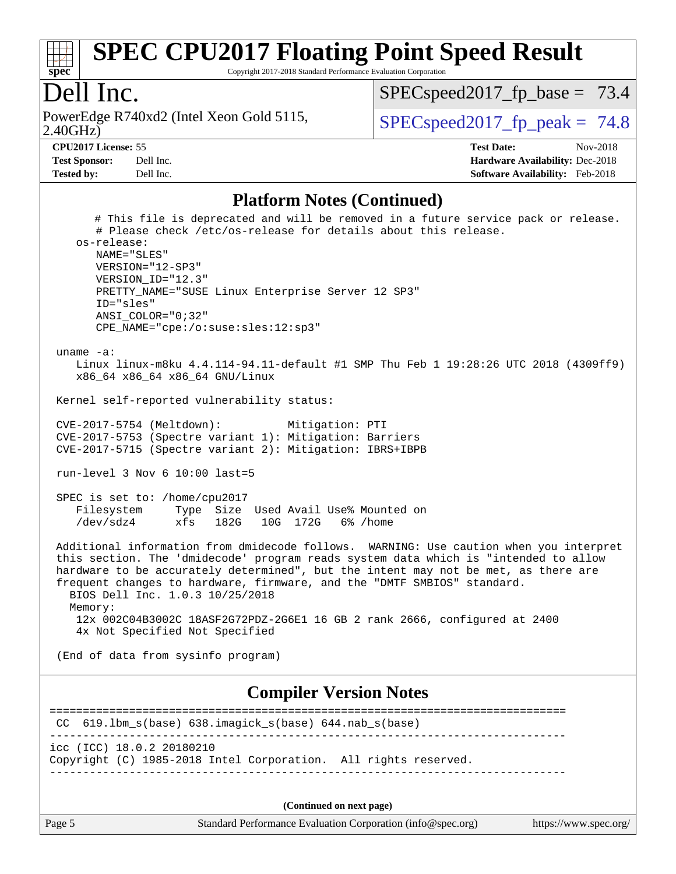

Copyright 2017-2018 Standard Performance Evaluation Corporation

#### Dell Inc.

2.40GHz) PowerEdge R740xd2 (Intel Xeon Gold 5115,  $\vert$  [SPECspeed2017\\_fp\\_peak =](http://www.spec.org/auto/cpu2017/Docs/result-fields.html#SPECspeed2017fppeak) 74.8

 $SPECspeed2017_fp\_base = 73.4$ 

**[CPU2017 License:](http://www.spec.org/auto/cpu2017/Docs/result-fields.html#CPU2017License)** 55 **[Test Date:](http://www.spec.org/auto/cpu2017/Docs/result-fields.html#TestDate)** Nov-2018 **[Test Sponsor:](http://www.spec.org/auto/cpu2017/Docs/result-fields.html#TestSponsor)** Dell Inc. **[Hardware Availability:](http://www.spec.org/auto/cpu2017/Docs/result-fields.html#HardwareAvailability)** Dec-2018 **[Tested by:](http://www.spec.org/auto/cpu2017/Docs/result-fields.html#Testedby)** Dell Inc. **[Software Availability:](http://www.spec.org/auto/cpu2017/Docs/result-fields.html#SoftwareAvailability)** Feb-2018

#### **[Platform Notes \(Continued\)](http://www.spec.org/auto/cpu2017/Docs/result-fields.html#PlatformNotes)**

 # This file is deprecated and will be removed in a future service pack or release. # Please check /etc/os-release for details about this release. os-release: NAME="SLES" VERSION="12-SP3" VERSION\_ID="12.3" PRETTY\_NAME="SUSE Linux Enterprise Server 12 SP3" ID="sles" ANSI\_COLOR="0;32" CPE\_NAME="cpe:/o:suse:sles:12:sp3" uname -a: Linux linux-m8ku 4.4.114-94.11-default #1 SMP Thu Feb 1 19:28:26 UTC 2018 (4309ff9) x86\_64 x86\_64 x86\_64 GNU/Linux Kernel self-reported vulnerability status: CVE-2017-5754 (Meltdown): Mitigation: PTI CVE-2017-5753 (Spectre variant 1): Mitigation: Barriers CVE-2017-5715 (Spectre variant 2): Mitigation: IBRS+IBPB run-level 3 Nov 6 10:00 last=5 SPEC is set to: /home/cpu2017 Filesystem Type Size Used Avail Use% Mounted on /dev/sdz4 xfs 182G 10G 172G 6% /home Additional information from dmidecode follows. WARNING: Use caution when you interpret this section. The 'dmidecode' program reads system data which is "intended to allow hardware to be accurately determined", but the intent may not be met, as there are frequent changes to hardware, firmware, and the "DMTF SMBIOS" standard. BIOS Dell Inc. 1.0.3 10/25/2018 Memory: 12x 002C04B3002C 18ASF2G72PDZ-2G6E1 16 GB 2 rank 2666, configured at 2400 4x Not Specified Not Specified (End of data from sysinfo program) **[Compiler Version Notes](http://www.spec.org/auto/cpu2017/Docs/result-fields.html#CompilerVersionNotes)** ============================================================================== CC 619.lbm\_s(base) 638.imagick\_s(base) 644.nab\_s(base) ----------------------------------------------------------------------------- icc (ICC) 18.0.2 20180210 Copyright (C) 1985-2018 Intel Corporation. All rights reserved.

------------------------------------------------------------------------------

**(Continued on next page)**

Page 5 Standard Performance Evaluation Corporation [\(info@spec.org\)](mailto:info@spec.org) <https://www.spec.org/>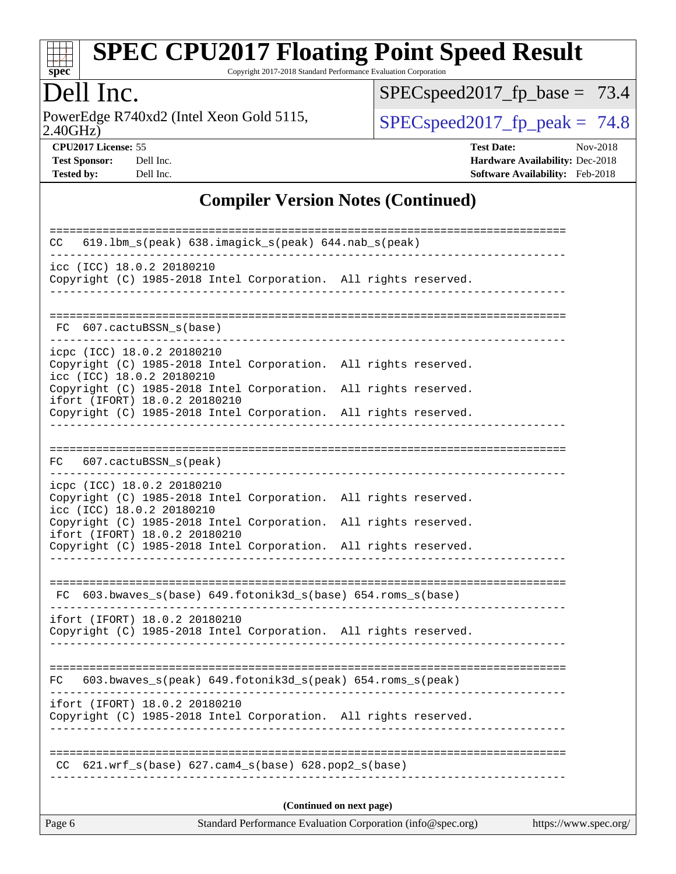

Copyright 2017-2018 Standard Performance Evaluation Corporation

## Dell Inc.

2.40GHz) PowerEdge R740xd2 (Intel Xeon Gold 5115,  $\text{SPEC speed2017\_fp\_peak} = 74.8$ 

[SPECspeed2017\\_fp\\_base =](http://www.spec.org/auto/cpu2017/Docs/result-fields.html#SPECspeed2017fpbase) 73.4

**[CPU2017 License:](http://www.spec.org/auto/cpu2017/Docs/result-fields.html#CPU2017License)** 55 **[Test Date:](http://www.spec.org/auto/cpu2017/Docs/result-fields.html#TestDate)** Nov-2018 **[Test Sponsor:](http://www.spec.org/auto/cpu2017/Docs/result-fields.html#TestSponsor)** Dell Inc. **[Hardware Availability:](http://www.spec.org/auto/cpu2017/Docs/result-fields.html#HardwareAvailability)** Dec-2018 **[Tested by:](http://www.spec.org/auto/cpu2017/Docs/result-fields.html#Testedby)** Dell Inc. **[Software Availability:](http://www.spec.org/auto/cpu2017/Docs/result-fields.html#SoftwareAvailability)** Feb-2018

#### **[Compiler Version Notes \(Continued\)](http://www.spec.org/auto/cpu2017/Docs/result-fields.html#CompilerVersionNotes)**

| 619.1bm_s(peak) 638.imagick_s(peak) 644.nab_s(peak)<br>CC.                                                                 |  |  |  |  |  |  |
|----------------------------------------------------------------------------------------------------------------------------|--|--|--|--|--|--|
| icc (ICC) 18.0.2 20180210<br>Copyright (C) 1985-2018 Intel Corporation. All rights reserved.                               |  |  |  |  |  |  |
| FC 607.cactuBSSN s(base)                                                                                                   |  |  |  |  |  |  |
|                                                                                                                            |  |  |  |  |  |  |
| icpc (ICC) 18.0.2 20180210<br>Copyright (C) 1985-2018 Intel Corporation. All rights reserved.<br>icc (ICC) 18.0.2 20180210 |  |  |  |  |  |  |
| Copyright (C) 1985-2018 Intel Corporation. All rights reserved.<br>ifort (IFORT) 18.0.2 20180210                           |  |  |  |  |  |  |
| Copyright (C) 1985-2018 Intel Corporation. All rights reserved.                                                            |  |  |  |  |  |  |
|                                                                                                                            |  |  |  |  |  |  |
| FC 607.cactuBSSN_s(peak)                                                                                                   |  |  |  |  |  |  |
| icpc (ICC) 18.0.2 20180210                                                                                                 |  |  |  |  |  |  |
| Copyright (C) 1985-2018 Intel Corporation. All rights reserved.<br>icc (ICC) 18.0.2 20180210                               |  |  |  |  |  |  |
| Copyright (C) 1985-2018 Intel Corporation. All rights reserved.<br>ifort (IFORT) 18.0.2 20180210                           |  |  |  |  |  |  |
| Copyright (C) 1985-2018 Intel Corporation. All rights reserved.                                                            |  |  |  |  |  |  |
|                                                                                                                            |  |  |  |  |  |  |
| 603.bwaves_s(base) 649.fotonik3d_s(base) 654.roms_s(base)<br>FC.                                                           |  |  |  |  |  |  |
| ifort (IFORT) 18.0.2 20180210                                                                                              |  |  |  |  |  |  |
| Copyright (C) 1985-2018 Intel Corporation. All rights reserved.                                                            |  |  |  |  |  |  |
|                                                                                                                            |  |  |  |  |  |  |
| $603.bwaves_s (peak) 649.fotonik3d_s (peak) 654.roms_s (peak)$<br>FC.                                                      |  |  |  |  |  |  |
|                                                                                                                            |  |  |  |  |  |  |
| ifort (IFORT) 18.0.2 20180210<br>Copyright (C) 1985-2018 Intel Corporation. All rights reserved.                           |  |  |  |  |  |  |
|                                                                                                                            |  |  |  |  |  |  |
| $621.wrf_s(base)$ $627.cam4_s(base)$ $628.pop2_s(base)$<br>CC.                                                             |  |  |  |  |  |  |
|                                                                                                                            |  |  |  |  |  |  |
| (Continued on next page)                                                                                                   |  |  |  |  |  |  |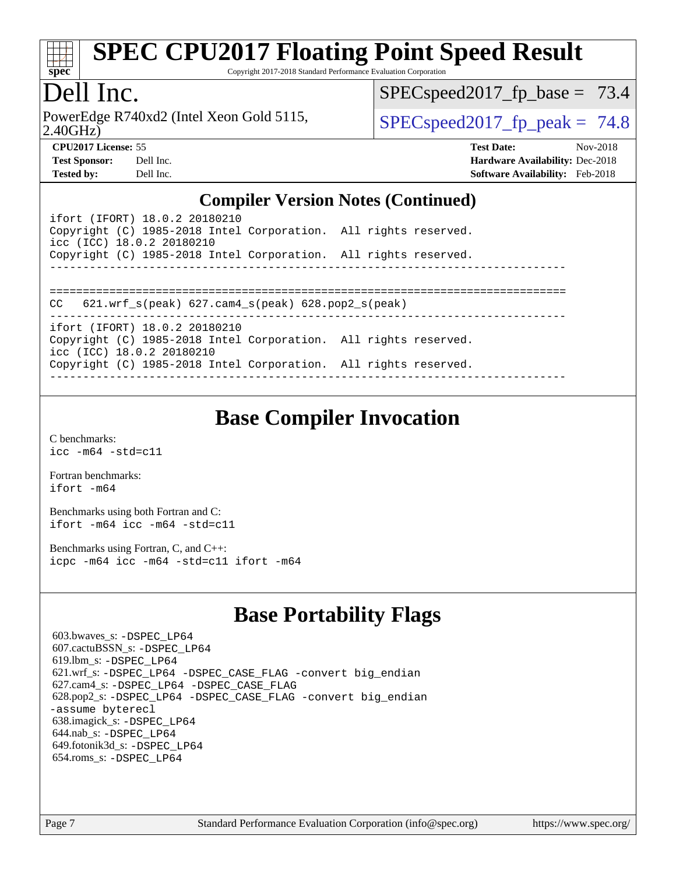

Copyright 2017-2018 Standard Performance Evaluation Corporation

## Dell Inc.

2.40GHz) PowerEdge R740xd2 (Intel Xeon Gold 5115,  $\vert$  [SPECspeed2017\\_fp\\_peak =](http://www.spec.org/auto/cpu2017/Docs/result-fields.html#SPECspeed2017fppeak) 74.8

 $SPECspeed2017_fp\_base = 73.4$ 

**[CPU2017 License:](http://www.spec.org/auto/cpu2017/Docs/result-fields.html#CPU2017License)** 55 **[Test Date:](http://www.spec.org/auto/cpu2017/Docs/result-fields.html#TestDate)** Nov-2018 **[Test Sponsor:](http://www.spec.org/auto/cpu2017/Docs/result-fields.html#TestSponsor)** Dell Inc. **[Hardware Availability:](http://www.spec.org/auto/cpu2017/Docs/result-fields.html#HardwareAvailability)** Dec-2018 **[Tested by:](http://www.spec.org/auto/cpu2017/Docs/result-fields.html#Testedby)** Dell Inc. **[Software Availability:](http://www.spec.org/auto/cpu2017/Docs/result-fields.html#SoftwareAvailability)** Feb-2018

#### **[Compiler Version Notes \(Continued\)](http://www.spec.org/auto/cpu2017/Docs/result-fields.html#CompilerVersionNotes)**

ifort (IFORT) 18.0.2 20180210 Copyright (C) 1985-2018 Intel Corporation. All rights reserved. icc (ICC) 18.0.2 20180210 Copyright (C) 1985-2018 Intel Corporation. All rights reserved. ------------------------------------------------------------------------------ ============================================================================== CC 621.wrf\_s(peak) 627.cam4\_s(peak) 628.pop2\_s(peak) ----------------------------------------------------------------------------- ifort (IFORT) 18.0.2 20180210 Copyright (C) 1985-2018 Intel Corporation. All rights reserved. icc (ICC) 18.0.2 20180210 Copyright (C) 1985-2018 Intel Corporation. All rights reserved. ------------------------------------------------------------------------------

## **[Base Compiler Invocation](http://www.spec.org/auto/cpu2017/Docs/result-fields.html#BaseCompilerInvocation)**

[C benchmarks](http://www.spec.org/auto/cpu2017/Docs/result-fields.html#Cbenchmarks): [icc -m64 -std=c11](http://www.spec.org/cpu2017/results/res2018q4/cpu2017-20181210-10208.flags.html#user_CCbase_intel_icc_64bit_c11_33ee0cdaae7deeeab2a9725423ba97205ce30f63b9926c2519791662299b76a0318f32ddfffdc46587804de3178b4f9328c46fa7c2b0cd779d7a61945c91cd35)

[Fortran benchmarks](http://www.spec.org/auto/cpu2017/Docs/result-fields.html#Fortranbenchmarks): [ifort -m64](http://www.spec.org/cpu2017/results/res2018q4/cpu2017-20181210-10208.flags.html#user_FCbase_intel_ifort_64bit_24f2bb282fbaeffd6157abe4f878425411749daecae9a33200eee2bee2fe76f3b89351d69a8130dd5949958ce389cf37ff59a95e7a40d588e8d3a57e0c3fd751)

[Benchmarks using both Fortran and C](http://www.spec.org/auto/cpu2017/Docs/result-fields.html#BenchmarksusingbothFortranandC): [ifort -m64](http://www.spec.org/cpu2017/results/res2018q4/cpu2017-20181210-10208.flags.html#user_CC_FCbase_intel_ifort_64bit_24f2bb282fbaeffd6157abe4f878425411749daecae9a33200eee2bee2fe76f3b89351d69a8130dd5949958ce389cf37ff59a95e7a40d588e8d3a57e0c3fd751) [icc -m64 -std=c11](http://www.spec.org/cpu2017/results/res2018q4/cpu2017-20181210-10208.flags.html#user_CC_FCbase_intel_icc_64bit_c11_33ee0cdaae7deeeab2a9725423ba97205ce30f63b9926c2519791662299b76a0318f32ddfffdc46587804de3178b4f9328c46fa7c2b0cd779d7a61945c91cd35)

[Benchmarks using Fortran, C, and C++:](http://www.spec.org/auto/cpu2017/Docs/result-fields.html#BenchmarksusingFortranCandCXX) [icpc -m64](http://www.spec.org/cpu2017/results/res2018q4/cpu2017-20181210-10208.flags.html#user_CC_CXX_FCbase_intel_icpc_64bit_4ecb2543ae3f1412ef961e0650ca070fec7b7afdcd6ed48761b84423119d1bf6bdf5cad15b44d48e7256388bc77273b966e5eb805aefd121eb22e9299b2ec9d9) [icc -m64 -std=c11](http://www.spec.org/cpu2017/results/res2018q4/cpu2017-20181210-10208.flags.html#user_CC_CXX_FCbase_intel_icc_64bit_c11_33ee0cdaae7deeeab2a9725423ba97205ce30f63b9926c2519791662299b76a0318f32ddfffdc46587804de3178b4f9328c46fa7c2b0cd779d7a61945c91cd35) [ifort -m64](http://www.spec.org/cpu2017/results/res2018q4/cpu2017-20181210-10208.flags.html#user_CC_CXX_FCbase_intel_ifort_64bit_24f2bb282fbaeffd6157abe4f878425411749daecae9a33200eee2bee2fe76f3b89351d69a8130dd5949958ce389cf37ff59a95e7a40d588e8d3a57e0c3fd751)

## **[Base Portability Flags](http://www.spec.org/auto/cpu2017/Docs/result-fields.html#BasePortabilityFlags)**

 603.bwaves\_s: [-DSPEC\\_LP64](http://www.spec.org/cpu2017/results/res2018q4/cpu2017-20181210-10208.flags.html#suite_basePORTABILITY603_bwaves_s_DSPEC_LP64) 607.cactuBSSN\_s: [-DSPEC\\_LP64](http://www.spec.org/cpu2017/results/res2018q4/cpu2017-20181210-10208.flags.html#suite_basePORTABILITY607_cactuBSSN_s_DSPEC_LP64) 619.lbm\_s: [-DSPEC\\_LP64](http://www.spec.org/cpu2017/results/res2018q4/cpu2017-20181210-10208.flags.html#suite_basePORTABILITY619_lbm_s_DSPEC_LP64) 621.wrf\_s: [-DSPEC\\_LP64](http://www.spec.org/cpu2017/results/res2018q4/cpu2017-20181210-10208.flags.html#suite_basePORTABILITY621_wrf_s_DSPEC_LP64) [-DSPEC\\_CASE\\_FLAG](http://www.spec.org/cpu2017/results/res2018q4/cpu2017-20181210-10208.flags.html#b621.wrf_s_baseCPORTABILITY_DSPEC_CASE_FLAG) [-convert big\\_endian](http://www.spec.org/cpu2017/results/res2018q4/cpu2017-20181210-10208.flags.html#user_baseFPORTABILITY621_wrf_s_convert_big_endian_c3194028bc08c63ac5d04de18c48ce6d347e4e562e8892b8bdbdc0214820426deb8554edfa529a3fb25a586e65a3d812c835984020483e7e73212c4d31a38223) 627.cam4\_s: [-DSPEC\\_LP64](http://www.spec.org/cpu2017/results/res2018q4/cpu2017-20181210-10208.flags.html#suite_basePORTABILITY627_cam4_s_DSPEC_LP64) [-DSPEC\\_CASE\\_FLAG](http://www.spec.org/cpu2017/results/res2018q4/cpu2017-20181210-10208.flags.html#b627.cam4_s_baseCPORTABILITY_DSPEC_CASE_FLAG) 628.pop2\_s: [-DSPEC\\_LP64](http://www.spec.org/cpu2017/results/res2018q4/cpu2017-20181210-10208.flags.html#suite_basePORTABILITY628_pop2_s_DSPEC_LP64) [-DSPEC\\_CASE\\_FLAG](http://www.spec.org/cpu2017/results/res2018q4/cpu2017-20181210-10208.flags.html#b628.pop2_s_baseCPORTABILITY_DSPEC_CASE_FLAG) [-convert big\\_endian](http://www.spec.org/cpu2017/results/res2018q4/cpu2017-20181210-10208.flags.html#user_baseFPORTABILITY628_pop2_s_convert_big_endian_c3194028bc08c63ac5d04de18c48ce6d347e4e562e8892b8bdbdc0214820426deb8554edfa529a3fb25a586e65a3d812c835984020483e7e73212c4d31a38223) [-assume byterecl](http://www.spec.org/cpu2017/results/res2018q4/cpu2017-20181210-10208.flags.html#user_baseFPORTABILITY628_pop2_s_assume_byterecl_7e47d18b9513cf18525430bbf0f2177aa9bf368bc7a059c09b2c06a34b53bd3447c950d3f8d6c70e3faf3a05c8557d66a5798b567902e8849adc142926523472) 638.imagick\_s: [-DSPEC\\_LP64](http://www.spec.org/cpu2017/results/res2018q4/cpu2017-20181210-10208.flags.html#suite_basePORTABILITY638_imagick_s_DSPEC_LP64) 644.nab\_s: [-DSPEC\\_LP64](http://www.spec.org/cpu2017/results/res2018q4/cpu2017-20181210-10208.flags.html#suite_basePORTABILITY644_nab_s_DSPEC_LP64) 649.fotonik3d\_s: [-DSPEC\\_LP64](http://www.spec.org/cpu2017/results/res2018q4/cpu2017-20181210-10208.flags.html#suite_basePORTABILITY649_fotonik3d_s_DSPEC_LP64) 654.roms\_s: [-DSPEC\\_LP64](http://www.spec.org/cpu2017/results/res2018q4/cpu2017-20181210-10208.flags.html#suite_basePORTABILITY654_roms_s_DSPEC_LP64)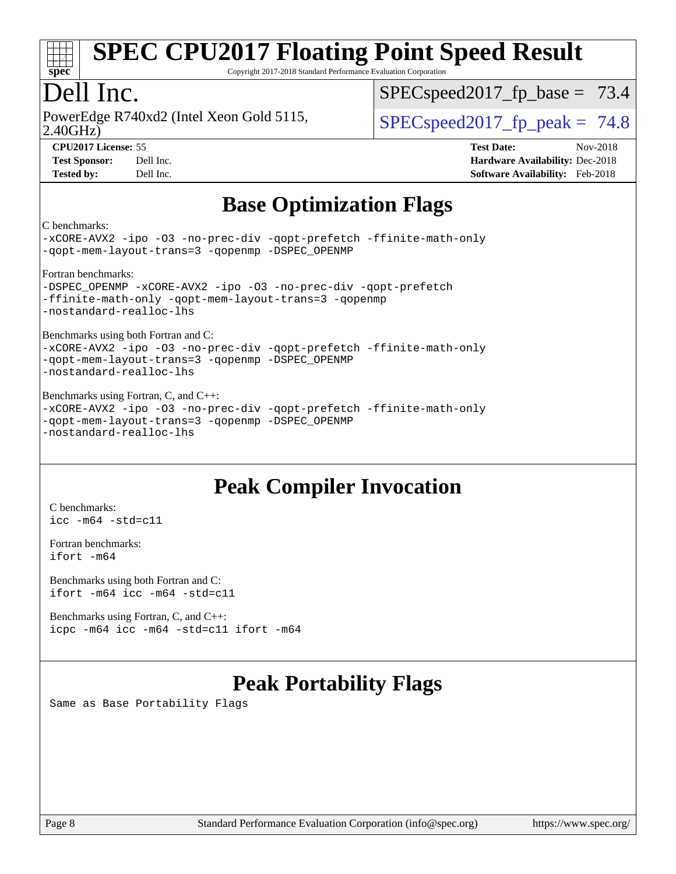

Copyright 2017-2018 Standard Performance Evaluation Corporation

## Dell Inc.

2.40GHz) PowerEdge R740xd2 (Intel Xeon Gold 5115,  $\vert$  [SPECspeed2017\\_fp\\_peak =](http://www.spec.org/auto/cpu2017/Docs/result-fields.html#SPECspeed2017fppeak) 74.8

 $SPECspeed2017_fp\_base = 73.4$ 

**[CPU2017 License:](http://www.spec.org/auto/cpu2017/Docs/result-fields.html#CPU2017License)** 55 **[Test Date:](http://www.spec.org/auto/cpu2017/Docs/result-fields.html#TestDate)** Nov-2018 **[Test Sponsor:](http://www.spec.org/auto/cpu2017/Docs/result-fields.html#TestSponsor)** Dell Inc. **[Hardware Availability:](http://www.spec.org/auto/cpu2017/Docs/result-fields.html#HardwareAvailability)** Dec-2018 **[Tested by:](http://www.spec.org/auto/cpu2017/Docs/result-fields.html#Testedby)** Dell Inc. **[Software Availability:](http://www.spec.org/auto/cpu2017/Docs/result-fields.html#SoftwareAvailability)** Feb-2018

## **[Base Optimization Flags](http://www.spec.org/auto/cpu2017/Docs/result-fields.html#BaseOptimizationFlags)**

[C benchmarks:](http://www.spec.org/auto/cpu2017/Docs/result-fields.html#Cbenchmarks)

[-xCORE-AVX2](http://www.spec.org/cpu2017/results/res2018q4/cpu2017-20181210-10208.flags.html#user_CCbase_f-xCORE-AVX2) [-ipo](http://www.spec.org/cpu2017/results/res2018q4/cpu2017-20181210-10208.flags.html#user_CCbase_f-ipo) [-O3](http://www.spec.org/cpu2017/results/res2018q4/cpu2017-20181210-10208.flags.html#user_CCbase_f-O3) [-no-prec-div](http://www.spec.org/cpu2017/results/res2018q4/cpu2017-20181210-10208.flags.html#user_CCbase_f-no-prec-div) [-qopt-prefetch](http://www.spec.org/cpu2017/results/res2018q4/cpu2017-20181210-10208.flags.html#user_CCbase_f-qopt-prefetch) [-ffinite-math-only](http://www.spec.org/cpu2017/results/res2018q4/cpu2017-20181210-10208.flags.html#user_CCbase_f_finite_math_only_cb91587bd2077682c4b38af759c288ed7c732db004271a9512da14a4f8007909a5f1427ecbf1a0fb78ff2a814402c6114ac565ca162485bbcae155b5e4258871) [-qopt-mem-layout-trans=3](http://www.spec.org/cpu2017/results/res2018q4/cpu2017-20181210-10208.flags.html#user_CCbase_f-qopt-mem-layout-trans_de80db37974c74b1f0e20d883f0b675c88c3b01e9d123adea9b28688d64333345fb62bc4a798493513fdb68f60282f9a726aa07f478b2f7113531aecce732043) [-qopenmp](http://www.spec.org/cpu2017/results/res2018q4/cpu2017-20181210-10208.flags.html#user_CCbase_qopenmp_16be0c44f24f464004c6784a7acb94aca937f053568ce72f94b139a11c7c168634a55f6653758ddd83bcf7b8463e8028bb0b48b77bcddc6b78d5d95bb1df2967) [-DSPEC\\_OPENMP](http://www.spec.org/cpu2017/results/res2018q4/cpu2017-20181210-10208.flags.html#suite_CCbase_DSPEC_OPENMP)

[Fortran benchmarks:](http://www.spec.org/auto/cpu2017/Docs/result-fields.html#Fortranbenchmarks)

[-DSPEC\\_OPENMP](http://www.spec.org/cpu2017/results/res2018q4/cpu2017-20181210-10208.flags.html#suite_FCbase_DSPEC_OPENMP) [-xCORE-AVX2](http://www.spec.org/cpu2017/results/res2018q4/cpu2017-20181210-10208.flags.html#user_FCbase_f-xCORE-AVX2) [-ipo](http://www.spec.org/cpu2017/results/res2018q4/cpu2017-20181210-10208.flags.html#user_FCbase_f-ipo) [-O3](http://www.spec.org/cpu2017/results/res2018q4/cpu2017-20181210-10208.flags.html#user_FCbase_f-O3) [-no-prec-div](http://www.spec.org/cpu2017/results/res2018q4/cpu2017-20181210-10208.flags.html#user_FCbase_f-no-prec-div) [-qopt-prefetch](http://www.spec.org/cpu2017/results/res2018q4/cpu2017-20181210-10208.flags.html#user_FCbase_f-qopt-prefetch) [-ffinite-math-only](http://www.spec.org/cpu2017/results/res2018q4/cpu2017-20181210-10208.flags.html#user_FCbase_f_finite_math_only_cb91587bd2077682c4b38af759c288ed7c732db004271a9512da14a4f8007909a5f1427ecbf1a0fb78ff2a814402c6114ac565ca162485bbcae155b5e4258871) [-qopt-mem-layout-trans=3](http://www.spec.org/cpu2017/results/res2018q4/cpu2017-20181210-10208.flags.html#user_FCbase_f-qopt-mem-layout-trans_de80db37974c74b1f0e20d883f0b675c88c3b01e9d123adea9b28688d64333345fb62bc4a798493513fdb68f60282f9a726aa07f478b2f7113531aecce732043) [-qopenmp](http://www.spec.org/cpu2017/results/res2018q4/cpu2017-20181210-10208.flags.html#user_FCbase_qopenmp_16be0c44f24f464004c6784a7acb94aca937f053568ce72f94b139a11c7c168634a55f6653758ddd83bcf7b8463e8028bb0b48b77bcddc6b78d5d95bb1df2967) [-nostandard-realloc-lhs](http://www.spec.org/cpu2017/results/res2018q4/cpu2017-20181210-10208.flags.html#user_FCbase_f_2003_std_realloc_82b4557e90729c0f113870c07e44d33d6f5a304b4f63d4c15d2d0f1fab99f5daaed73bdb9275d9ae411527f28b936061aa8b9c8f2d63842963b95c9dd6426b8a)

[Benchmarks using both Fortran and C:](http://www.spec.org/auto/cpu2017/Docs/result-fields.html#BenchmarksusingbothFortranandC)

[-xCORE-AVX2](http://www.spec.org/cpu2017/results/res2018q4/cpu2017-20181210-10208.flags.html#user_CC_FCbase_f-xCORE-AVX2) [-ipo](http://www.spec.org/cpu2017/results/res2018q4/cpu2017-20181210-10208.flags.html#user_CC_FCbase_f-ipo) [-O3](http://www.spec.org/cpu2017/results/res2018q4/cpu2017-20181210-10208.flags.html#user_CC_FCbase_f-O3) [-no-prec-div](http://www.spec.org/cpu2017/results/res2018q4/cpu2017-20181210-10208.flags.html#user_CC_FCbase_f-no-prec-div) [-qopt-prefetch](http://www.spec.org/cpu2017/results/res2018q4/cpu2017-20181210-10208.flags.html#user_CC_FCbase_f-qopt-prefetch) [-ffinite-math-only](http://www.spec.org/cpu2017/results/res2018q4/cpu2017-20181210-10208.flags.html#user_CC_FCbase_f_finite_math_only_cb91587bd2077682c4b38af759c288ed7c732db004271a9512da14a4f8007909a5f1427ecbf1a0fb78ff2a814402c6114ac565ca162485bbcae155b5e4258871) [-qopt-mem-layout-trans=3](http://www.spec.org/cpu2017/results/res2018q4/cpu2017-20181210-10208.flags.html#user_CC_FCbase_f-qopt-mem-layout-trans_de80db37974c74b1f0e20d883f0b675c88c3b01e9d123adea9b28688d64333345fb62bc4a798493513fdb68f60282f9a726aa07f478b2f7113531aecce732043) [-qopenmp](http://www.spec.org/cpu2017/results/res2018q4/cpu2017-20181210-10208.flags.html#user_CC_FCbase_qopenmp_16be0c44f24f464004c6784a7acb94aca937f053568ce72f94b139a11c7c168634a55f6653758ddd83bcf7b8463e8028bb0b48b77bcddc6b78d5d95bb1df2967) [-DSPEC\\_OPENMP](http://www.spec.org/cpu2017/results/res2018q4/cpu2017-20181210-10208.flags.html#suite_CC_FCbase_DSPEC_OPENMP) [-nostandard-realloc-lhs](http://www.spec.org/cpu2017/results/res2018q4/cpu2017-20181210-10208.flags.html#user_CC_FCbase_f_2003_std_realloc_82b4557e90729c0f113870c07e44d33d6f5a304b4f63d4c15d2d0f1fab99f5daaed73bdb9275d9ae411527f28b936061aa8b9c8f2d63842963b95c9dd6426b8a)

[Benchmarks using Fortran, C, and C++:](http://www.spec.org/auto/cpu2017/Docs/result-fields.html#BenchmarksusingFortranCandCXX) [-xCORE-AVX2](http://www.spec.org/cpu2017/results/res2018q4/cpu2017-20181210-10208.flags.html#user_CC_CXX_FCbase_f-xCORE-AVX2) [-ipo](http://www.spec.org/cpu2017/results/res2018q4/cpu2017-20181210-10208.flags.html#user_CC_CXX_FCbase_f-ipo) [-O3](http://www.spec.org/cpu2017/results/res2018q4/cpu2017-20181210-10208.flags.html#user_CC_CXX_FCbase_f-O3) [-no-prec-div](http://www.spec.org/cpu2017/results/res2018q4/cpu2017-20181210-10208.flags.html#user_CC_CXX_FCbase_f-no-prec-div) [-qopt-prefetch](http://www.spec.org/cpu2017/results/res2018q4/cpu2017-20181210-10208.flags.html#user_CC_CXX_FCbase_f-qopt-prefetch) [-ffinite-math-only](http://www.spec.org/cpu2017/results/res2018q4/cpu2017-20181210-10208.flags.html#user_CC_CXX_FCbase_f_finite_math_only_cb91587bd2077682c4b38af759c288ed7c732db004271a9512da14a4f8007909a5f1427ecbf1a0fb78ff2a814402c6114ac565ca162485bbcae155b5e4258871) [-qopt-mem-layout-trans=3](http://www.spec.org/cpu2017/results/res2018q4/cpu2017-20181210-10208.flags.html#user_CC_CXX_FCbase_f-qopt-mem-layout-trans_de80db37974c74b1f0e20d883f0b675c88c3b01e9d123adea9b28688d64333345fb62bc4a798493513fdb68f60282f9a726aa07f478b2f7113531aecce732043) [-qopenmp](http://www.spec.org/cpu2017/results/res2018q4/cpu2017-20181210-10208.flags.html#user_CC_CXX_FCbase_qopenmp_16be0c44f24f464004c6784a7acb94aca937f053568ce72f94b139a11c7c168634a55f6653758ddd83bcf7b8463e8028bb0b48b77bcddc6b78d5d95bb1df2967) [-DSPEC\\_OPENMP](http://www.spec.org/cpu2017/results/res2018q4/cpu2017-20181210-10208.flags.html#suite_CC_CXX_FCbase_DSPEC_OPENMP) [-nostandard-realloc-lhs](http://www.spec.org/cpu2017/results/res2018q4/cpu2017-20181210-10208.flags.html#user_CC_CXX_FCbase_f_2003_std_realloc_82b4557e90729c0f113870c07e44d33d6f5a304b4f63d4c15d2d0f1fab99f5daaed73bdb9275d9ae411527f28b936061aa8b9c8f2d63842963b95c9dd6426b8a)

## **[Peak Compiler Invocation](http://www.spec.org/auto/cpu2017/Docs/result-fields.html#PeakCompilerInvocation)**

[C benchmarks](http://www.spec.org/auto/cpu2017/Docs/result-fields.html#Cbenchmarks): [icc -m64 -std=c11](http://www.spec.org/cpu2017/results/res2018q4/cpu2017-20181210-10208.flags.html#user_CCpeak_intel_icc_64bit_c11_33ee0cdaae7deeeab2a9725423ba97205ce30f63b9926c2519791662299b76a0318f32ddfffdc46587804de3178b4f9328c46fa7c2b0cd779d7a61945c91cd35)

[Fortran benchmarks](http://www.spec.org/auto/cpu2017/Docs/result-fields.html#Fortranbenchmarks): [ifort -m64](http://www.spec.org/cpu2017/results/res2018q4/cpu2017-20181210-10208.flags.html#user_FCpeak_intel_ifort_64bit_24f2bb282fbaeffd6157abe4f878425411749daecae9a33200eee2bee2fe76f3b89351d69a8130dd5949958ce389cf37ff59a95e7a40d588e8d3a57e0c3fd751)

[Benchmarks using both Fortran and C](http://www.spec.org/auto/cpu2017/Docs/result-fields.html#BenchmarksusingbothFortranandC): [ifort -m64](http://www.spec.org/cpu2017/results/res2018q4/cpu2017-20181210-10208.flags.html#user_CC_FCpeak_intel_ifort_64bit_24f2bb282fbaeffd6157abe4f878425411749daecae9a33200eee2bee2fe76f3b89351d69a8130dd5949958ce389cf37ff59a95e7a40d588e8d3a57e0c3fd751) [icc -m64 -std=c11](http://www.spec.org/cpu2017/results/res2018q4/cpu2017-20181210-10208.flags.html#user_CC_FCpeak_intel_icc_64bit_c11_33ee0cdaae7deeeab2a9725423ba97205ce30f63b9926c2519791662299b76a0318f32ddfffdc46587804de3178b4f9328c46fa7c2b0cd779d7a61945c91cd35)

[Benchmarks using Fortran, C, and C++:](http://www.spec.org/auto/cpu2017/Docs/result-fields.html#BenchmarksusingFortranCandCXX) [icpc -m64](http://www.spec.org/cpu2017/results/res2018q4/cpu2017-20181210-10208.flags.html#user_CC_CXX_FCpeak_intel_icpc_64bit_4ecb2543ae3f1412ef961e0650ca070fec7b7afdcd6ed48761b84423119d1bf6bdf5cad15b44d48e7256388bc77273b966e5eb805aefd121eb22e9299b2ec9d9) [icc -m64 -std=c11](http://www.spec.org/cpu2017/results/res2018q4/cpu2017-20181210-10208.flags.html#user_CC_CXX_FCpeak_intel_icc_64bit_c11_33ee0cdaae7deeeab2a9725423ba97205ce30f63b9926c2519791662299b76a0318f32ddfffdc46587804de3178b4f9328c46fa7c2b0cd779d7a61945c91cd35) [ifort -m64](http://www.spec.org/cpu2017/results/res2018q4/cpu2017-20181210-10208.flags.html#user_CC_CXX_FCpeak_intel_ifort_64bit_24f2bb282fbaeffd6157abe4f878425411749daecae9a33200eee2bee2fe76f3b89351d69a8130dd5949958ce389cf37ff59a95e7a40d588e8d3a57e0c3fd751)

## **[Peak Portability Flags](http://www.spec.org/auto/cpu2017/Docs/result-fields.html#PeakPortabilityFlags)**

Same as Base Portability Flags